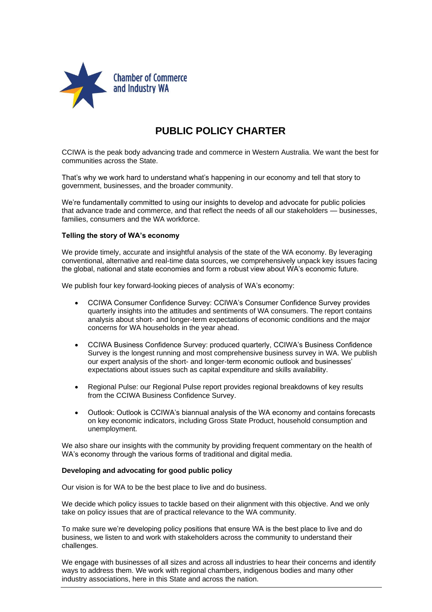

## **PUBLIC POLICY CHARTER**

CCIWA is the peak body advancing trade and commerce in Western Australia. We want the best for communities across the State.

That's why we work hard to understand what's happening in our economy and tell that story to government, businesses, and the broader community.

We're fundamentally committed to using our insights to develop and advocate for public policies that advance trade and commerce, and that reflect the needs of all our stakeholders — businesses, families, consumers and the WA workforce.

## **Telling the story of WA's economy**

We provide timely, accurate and insightful analysis of the state of the WA economy. By leveraging conventional, alternative and real-time data sources, we comprehensively unpack key issues facing the global, national and state economies and form a robust view about WA's economic future.

We publish four key forward-looking pieces of analysis of WA's economy:

- CCIWA Consumer Confidence Survey: CCIWA's Consumer Confidence Survey provides quarterly insights into the attitudes and sentiments of WA consumers. The report contains analysis about short- and longer-term expectations of economic conditions and the major concerns for WA households in the year ahead.
- CCIWA Business Confidence Survey: produced quarterly, CCIWA's Business Confidence Survey is the longest running and most comprehensive business survey in WA. We publish our expert analysis of the short- and longer-term economic outlook and businesses' expectations about issues such as capital expenditure and skills availability.
- Regional Pulse: our Regional Pulse report provides regional breakdowns of key results from the CCIWA Business Confidence Survey.
- Outlook: Outlook is CCIWA's biannual analysis of the WA economy and contains forecasts on key economic indicators, including Gross State Product, household consumption and unemployment.

We also share our insights with the community by providing frequent commentary on the health of WA's economy through the various forms of traditional and digital media.

## **Developing and advocating for good public policy**

Our vision is for WA to be the best place to live and do business.

We decide which policy issues to tackle based on their alignment with this objective. And we only take on policy issues that are of practical relevance to the WA community.

To make sure we're developing policy positions that ensure WA is the best place to live and do business, we listen to and work with stakeholders across the community to understand their challenges.

We engage with businesses of all sizes and across all industries to hear their concerns and identify ways to address them. We work with regional chambers, indigenous bodies and many other industry associations, here in this State and across the nation.